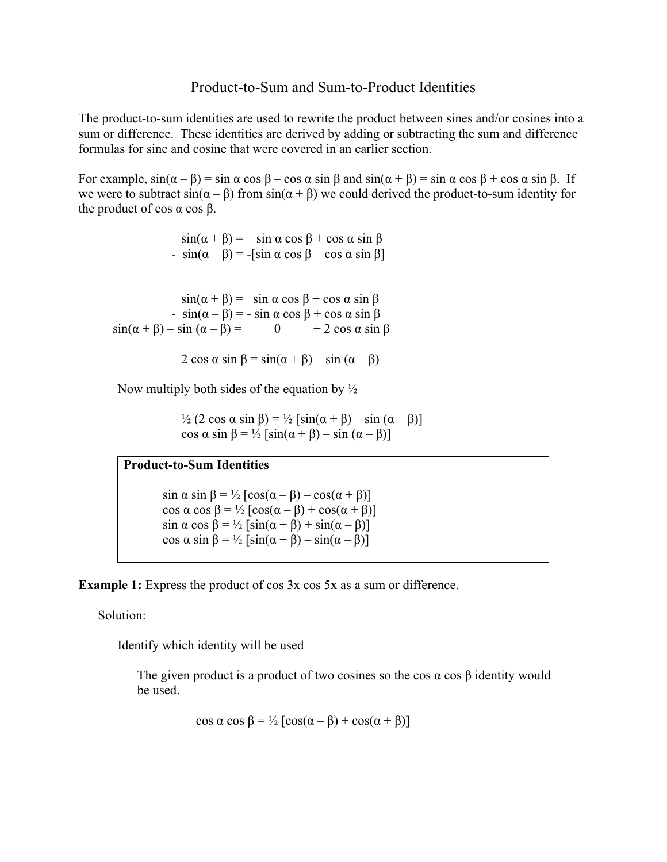### Product-to-Sum and Sum-to-Product Identities

The product-to-sum identities are used to rewrite the product between sines and/or cosines into a sum or difference. These identities are derived by adding or subtracting the sum and difference formulas for sine and cosine that were covered in an earlier section.

For example,  $sin(\alpha - \beta) = sin \alpha cos \beta - cos \alpha sin \beta$  and  $sin(\alpha + \beta) = sin \alpha cos \beta + cos \alpha sin \beta$ . If we were to subtract  $sin(\alpha - \beta)$  from  $sin(\alpha + \beta)$  we could derived the product-to-sum identity for the product of cos  $α$  cos  $β$ .

> $sin(\alpha + \beta) = sin \alpha cos \beta + cos \alpha sin \beta$  $\sin(\alpha - \beta) = -\sin \alpha \cos \beta - \cos \alpha \sin \beta$

 $sin(\alpha + \beta) = sin \alpha cos \beta + cos \alpha sin \beta$  $-\sin(\alpha - \beta) = -\sin \alpha \cos \beta + \cos \alpha \sin \beta$  $sin(\alpha + \beta) - sin(\alpha - \beta) = 0 + 2 cos \alpha sin \beta$ 

2 cos  $\alpha$  sin  $\beta$  = sin( $\alpha$  +  $\beta$ ) – sin ( $\alpha$  –  $\beta$ )

Now multiply both sides of the equation by  $\frac{1}{2}$ 

<sup>1</sup>/<sub>2</sub> (2 cos α sin β) = <sup>1</sup>/<sub>2</sub> [sin(α + β) – sin (α – β)] cos  $\alpha$  sin  $\beta = \frac{1}{2} [\sin(\alpha + \beta) - \sin(\alpha - \beta)]$ 

#### **Product-to-Sum Identities**

sin  $\alpha$  sin  $\beta = \frac{1}{2} [\cos(\alpha - \beta) - \cos(\alpha + \beta)]$ cos  $\alpha$  cos  $\beta = \frac{1}{2} [\cos(\alpha - \beta) + \cos(\alpha + \beta)]$  $\sin \alpha \cos \beta = \frac{1}{2} [\sin(\alpha + \beta) + \sin(\alpha - \beta)]$ cos  $\alpha$  sin  $\beta = \frac{1}{2} [\sin(\alpha + \beta) - \sin(\alpha - \beta)]$ 

**Example 1:** Express the product of cos 3x cos 5x as a sum or difference.

Solution:

Identify which identity will be used

The given product is a product of two cosines so the cos  $\alpha$  cos  $\beta$  identity would be used.

$$
\cos \alpha \cos \beta = \frac{1}{2} [\cos(\alpha - \beta) + \cos(\alpha + \beta)]
$$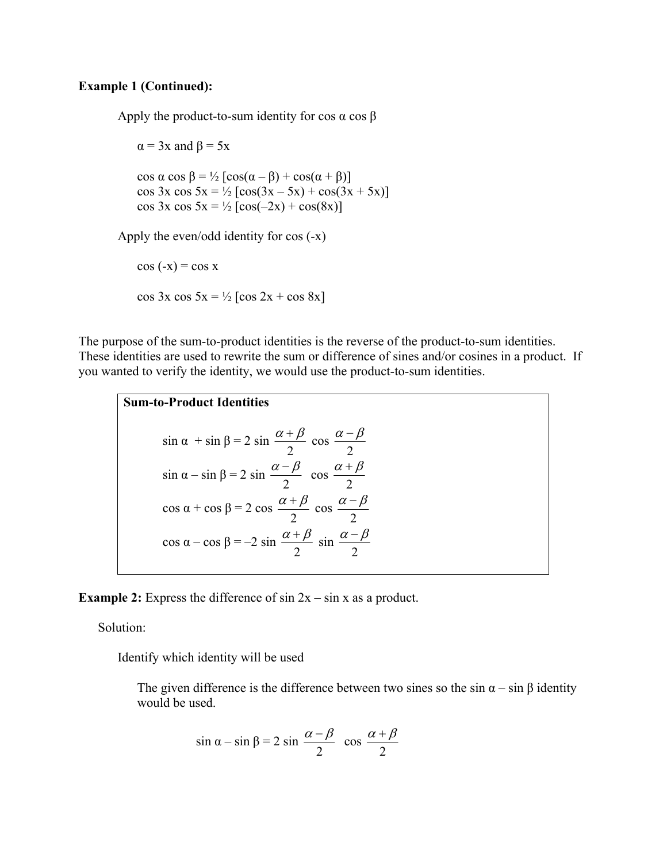#### **Example 1 (Continued):**

Apply the product-to-sum identity for cos  $\alpha$  cos  $\beta$ 

 $\alpha$  = 3x and  $\beta$  = 5x cos  $\alpha$  cos  $\beta = \frac{1}{2} [\cos(\alpha - \beta) + \cos(\alpha + \beta)]$ cos  $3x \cos 5x = \frac{1}{2} [\cos(3x - 5x) + \cos(3x + 5x)]$ cos  $3x \cos 5x = \frac{1}{2} [\cos(-2x) + \cos(8x)]$ 

Apply the even/odd identity for cos (-x)

 $cos(-x) = cos x$ cos 3x cos 5x = ½ [cos 2x + cos 8x]

The purpose of the sum-to-product identities is the reverse of the product-to-sum identities. These identities are used to rewrite the sum or difference of sines and/or cosines in a product. If you wanted to verify the identity, we would use the product-to-sum identities.

**Sum-to-Product Identities**  $\sin \alpha + \sin \beta = 2 \sin \beta$ 2  $\frac{\alpha+\beta}{2}$  cos 2  $\frac{\alpha-\beta}{\gamma}$  $\sin \alpha - \sin \beta = 2 \sin \beta$ 2  $\frac{\alpha-\beta}{2}$  cos 2  $\frac{\alpha+\beta}{\alpha}$ cos  $\alpha$  + cos  $\beta$  = 2 cos 2  $\frac{\alpha+\beta}{\alpha}$  cos 2  $\alpha - \beta$ cos  $\alpha$  – cos  $\beta$  = –2 sin 2  $\frac{\alpha+\beta}{2}$  sin 2  $\alpha - \beta$ 

**Example 2:** Express the difference of sin  $2x - \sin x$  as a product.

Solution:

Identify which identity will be used

The given difference is the difference between two sines so the sin  $\alpha$  – sin  $\beta$  identity would be used.

$$
\sin \alpha - \sin \beta = 2 \sin \frac{\alpha - \beta}{2} \cos \frac{\alpha + \beta}{2}
$$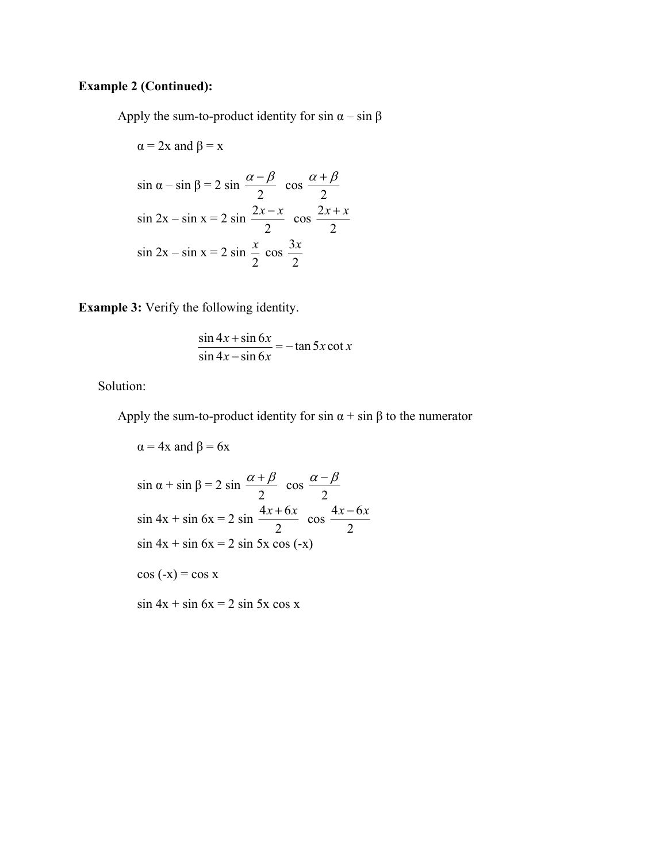## **Example 2 (Continued):**

Apply the sum-to-product identity for sin  $\alpha$  – sin  $\beta$ 

$$
\alpha = 2x \text{ and } \beta = x
$$
  
\n
$$
\sin \alpha - \sin \beta = 2 \sin \frac{\alpha - \beta}{2} \cos \frac{\alpha + \beta}{2}
$$
  
\n
$$
\sin 2x - \sin x = 2 \sin \frac{2x - x}{2} \cos \frac{2x + x}{2}
$$
  
\n
$$
\sin 2x - \sin x = 2 \sin \frac{x}{2} \cos \frac{3x}{2}
$$

**Example 3:** Verify the following identity.

$$
\frac{\sin 4x + \sin 6x}{\sin 4x - \sin 6x} = -\tan 5x \cot x
$$

Solution:

Apply the sum-to-product identity for sin  $\alpha$  + sin  $\beta$  to the numerator

$$
\alpha = 4x \text{ and } \beta = 6x
$$
  
\n
$$
\sin \alpha + \sin \beta = 2 \sin \frac{\alpha + \beta}{2} \cos \frac{\alpha - \beta}{2}
$$
  
\n
$$
\sin 4x + \sin 6x = 2 \sin \frac{4x + 6x}{2} \cos \frac{4x - 6x}{2}
$$
  
\n
$$
\cos 4x + \sin 6x = 2 \sin 5x \cos (-x)
$$
  
\n
$$
\cos (-x) = \cos x
$$
  
\n
$$
\sin 4x + \sin 6x = 2 \sin 5x \cos x
$$